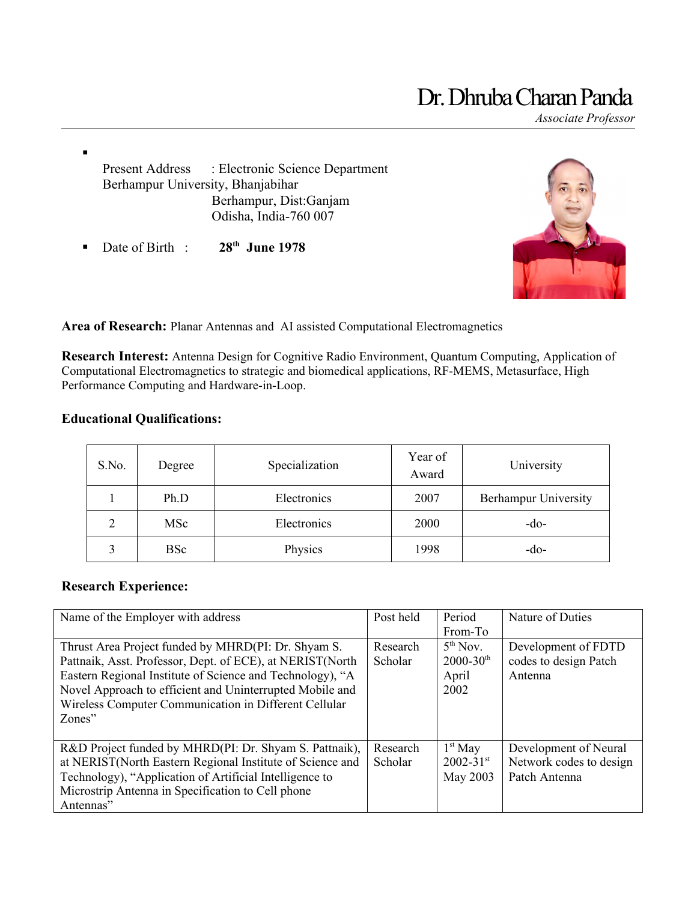# Dr. Dhruba Charan Panda

*Associate Professor*

Present Address : Electronic Science Department Berhampur University, Bhanjabihar Berhampur, Dist:Ganjam Odisha, India-760 007

Date of Birth : **28th June 1978**



**Area of Research:** Planar Antennas and AI assisted Computational Electromagnetics

**Research Interest:** Antenna Design for Cognitive Radio Environment, Quantum Computing, Application of Computational Electromagnetics to strategic and biomedical applications, RF-MEMS, Metasurface, High Performance Computing and Hardware-in-Loop.

## **Educational Qualifications:**

 $\blacksquare$ 

| S.No. | Degree     | Specialization | Year of<br>Award | University           |
|-------|------------|----------------|------------------|----------------------|
|       | Ph.D       | Electronics    | 2007             | Berhampur University |
|       | <b>MSc</b> | Electronics    | 2000             | $-do-$               |
|       | <b>BSc</b> | Physics        | 1998             | -do-                 |

# **Research Experience:**

| Name of the Employer with address                                                                                                                                                                                                                                                                            | Post held           | Period<br>From-To                                                  | Nature of Duties                                                  |
|--------------------------------------------------------------------------------------------------------------------------------------------------------------------------------------------------------------------------------------------------------------------------------------------------------------|---------------------|--------------------------------------------------------------------|-------------------------------------------------------------------|
| Thrust Area Project funded by MHRD(PI: Dr. Shyam S.<br>Pattnaik, Asst. Professor, Dept. of ECE), at NERIST(North<br>Eastern Regional Institute of Science and Technology), "A<br>Novel Approach to efficient and Uninterrupted Mobile and<br>Wireless Computer Communication in Different Cellular<br>Zones" | Research<br>Scholar | 5 <sup>th</sup> Nov.<br>$2000 - 30$ <sup>th</sup><br>April<br>2002 | Development of FDTD<br>codes to design Patch<br>Antenna           |
| R&D Project funded by MHRD(PI: Dr. Shyam S. Pattnaik),<br>at NERIST(North Eastern Regional Institute of Science and<br>Technology), "Application of Artificial Intelligence to<br>Microstrip Antenna in Specification to Cell phone<br>Antennas"                                                             | Research<br>Scholar | $1st$ May<br>$2002 - 31$ <sup>st</sup><br>May 2003                 | Development of Neural<br>Network codes to design<br>Patch Antenna |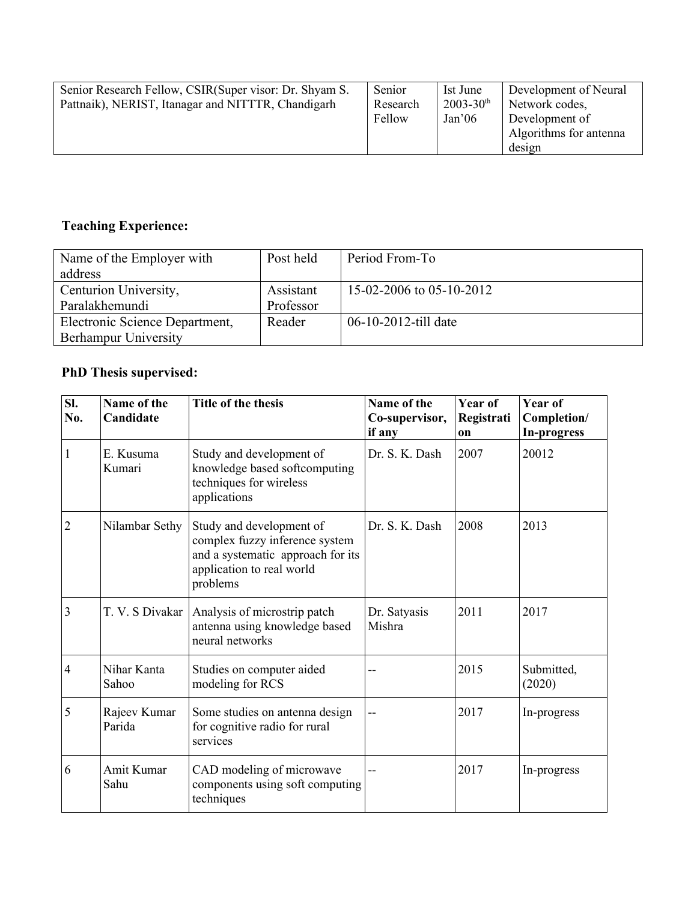| Senior Research Fellow, CSIR (Super visor: Dr. Shyam S.<br>Pattnaik), NERIST, Itanagar and NITTTR, Chandigarh | Senior<br>Research<br>Fellow | Ist June<br>$2003 - 30$ <sup>th</sup><br>Jan <sup>2</sup> 06 | Development of Neural<br>Network codes,<br>Development of<br>Algorithms for antenna<br>design |
|---------------------------------------------------------------------------------------------------------------|------------------------------|--------------------------------------------------------------|-----------------------------------------------------------------------------------------------|
|---------------------------------------------------------------------------------------------------------------|------------------------------|--------------------------------------------------------------|-----------------------------------------------------------------------------------------------|

# **Teaching Experience:**

| Name of the Employer with      | Post held | Period From-To           |
|--------------------------------|-----------|--------------------------|
| address                        |           |                          |
| Centurion University,          | Assistant | 15-02-2006 to 05-10-2012 |
| Paralakhemundi                 | Professor |                          |
| Electronic Science Department, | Reader    | 06-10-2012-till date     |
| Berhampur University           |           |                          |

# **PhD Thesis supervised:**

| SI.<br>No.     | Name of the<br>Candidate | Title of the thesis                                                                                                                      | Name of the<br>Co-supervisor,<br>if any | Year of<br>Registrati<br>on | Year of<br>Completion/<br>In-progress |
|----------------|--------------------------|------------------------------------------------------------------------------------------------------------------------------------------|-----------------------------------------|-----------------------------|---------------------------------------|
| 1              | E. Kusuma<br>Kumari      | Study and development of<br>knowledge based softcomputing<br>techniques for wireless<br>applications                                     | Dr. S. K. Dash                          | 2007                        | 20012                                 |
| $\overline{2}$ | Nilambar Sethy           | Study and development of<br>complex fuzzy inference system<br>and a systematic approach for its<br>application to real world<br>problems | Dr. S. K. Dash                          | 2008                        | 2013                                  |
| 3              | T. V. S Divakar          | Analysis of microstrip patch<br>antenna using knowledge based<br>neural networks                                                         | Dr. Satyasis<br>Mishra                  | 2011                        | 2017                                  |
| $\overline{4}$ | Nihar Kanta<br>Sahoo     | Studies on computer aided<br>modeling for RCS                                                                                            | --                                      | 2015                        | Submitted,<br>(2020)                  |
| 5              | Rajeev Kumar<br>Parida   | Some studies on antenna design<br>for cognitive radio for rural<br>services                                                              |                                         | 2017                        | In-progress                           |
| 6              | Amit Kumar<br>Sahu       | CAD modeling of microwave<br>components using soft computing<br>techniques                                                               | --                                      | 2017                        | In-progress                           |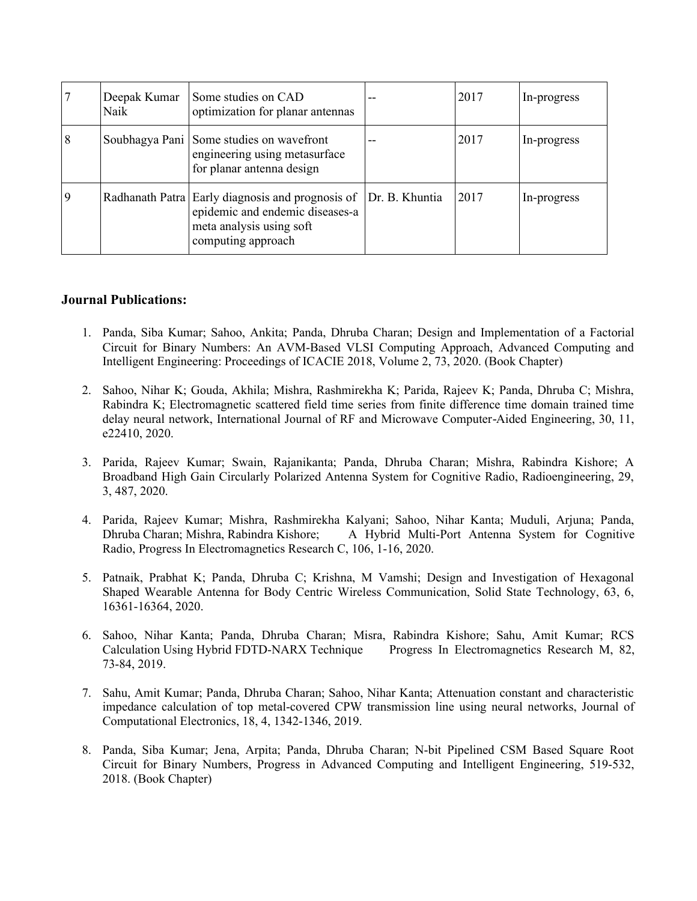|   | Deepak Kumar<br>Naik | Some studies on CAD<br>optimization for planar antennas                                                                               |                | 2017 | In-progress |
|---|----------------------|---------------------------------------------------------------------------------------------------------------------------------------|----------------|------|-------------|
| 8 |                      | Soubhagya Pani Some studies on wavefront<br>engineering using metasurface<br>for planar antenna design                                | $-$            | 2017 | In-progress |
|   |                      | Radhanath Patra Early diagnosis and prognosis of<br>epidemic and endemic diseases-a<br>meta analysis using soft<br>computing approach | Dr. B. Khuntia | 2017 | In-progress |

#### **Journal Publications:**

- 1. Panda, Siba Kumar; Sahoo, Ankita; Panda, Dhruba Charan; Design and Implementation of a Factorial Circuit for Binary Numbers: An AVM-Based VLSI Computing Approach, Advanced Computing and Intelligent Engineering: Proceedings of ICACIE 2018, Volume 2, 73, 2020. (Book Chapter)
- 2. Sahoo, Nihar K; Gouda, Akhila; Mishra, Rashmirekha K; Parida, Rajeev K; Panda, Dhruba C; Mishra, Rabindra K; Electromagnetic scattered field time series from finite difference time domain trained time delay neural network, International Journal of RF and Microwave Computer-Aided Engineering, 30, 11, e22410, 2020.
- 3. Parida, Rajeev Kumar; Swain, Rajanikanta; Panda, Dhruba Charan; Mishra, Rabindra Kishore; A Broadband High Gain Circularly Polarized Antenna System for Cognitive Radio, Radioengineering, 29, 3, 487, 2020.
- 4. Parida, Rajeev Kumar; Mishra, Rashmirekha Kalyani; Sahoo, Nihar Kanta; Muduli, Arjuna; Panda, A Hybrid Multi-Port Antenna System for Cognitive Radio, Progress In Electromagnetics Research C, 106, 1-16, 2020.
- 5. Patnaik, Prabhat K; Panda, Dhruba C; Krishna, M Vamshi; Design and Investigation of Hexagonal Shaped Wearable Antenna for Body Centric Wireless Communication, Solid State Technology, 63, 6, 16361-16364, 2020.
- 6. Sahoo, Nihar Kanta; Panda, Dhruba Charan; Misra, Rabindra Kishore; Sahu, Amit Kumar; RCS Calculation Using Hybrid FDTD-NARX Technique Progress In Electromagnetics Research M, 82, 73-84, 2019.
- 7. Sahu, Amit Kumar; Panda, Dhruba Charan; Sahoo, Nihar Kanta; Attenuation constant and characteristic impedance calculation of top metal-covered CPW transmission line using neural networks, Journal of Computational Electronics, 18, 4, 1342-1346, 2019.
- 8. Panda, Siba Kumar; Jena, Arpita; Panda, Dhruba Charan; N-bit Pipelined CSM Based Square Root Circuit for Binary Numbers, Progress in Advanced Computing and Intelligent Engineering, 519-532, 2018. (Book Chapter)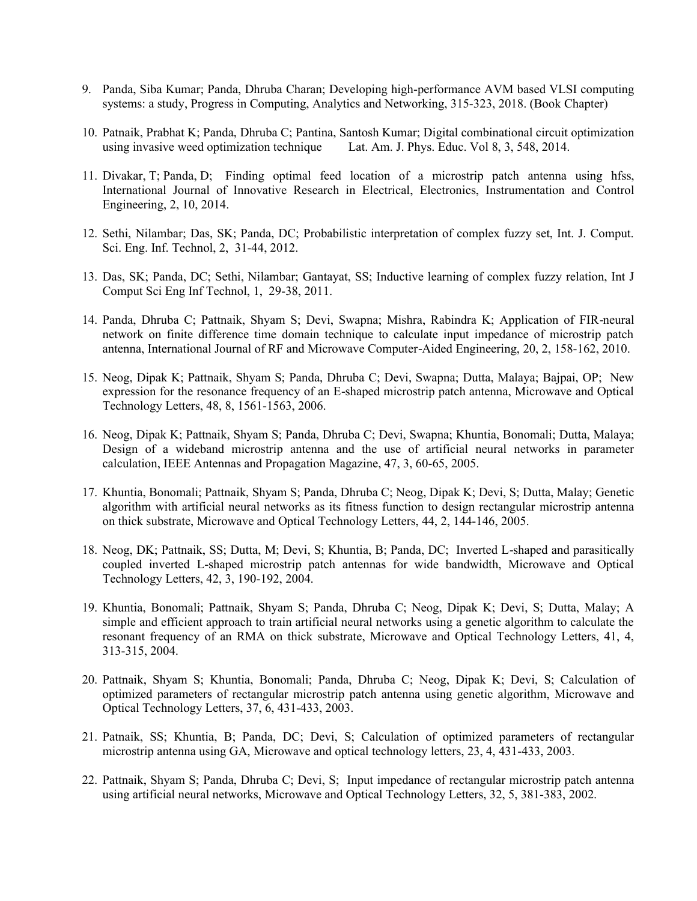- 9. Panda, Siba Kumar; Panda, Dhruba Charan; Developing high-performance AVM based VLSI computing systems: a study, Progress in Computing, Analytics and Networking, 315-323, 2018. (Book Chapter)
- 10. Patnaik, Prabhat K; Panda, Dhruba C; Pantina, Santosh Kumar; Digital combinational circuit optimization using invasive weed optimization technique Lat. Am. J. Phys. Educ. Vol 8, 3, 548, 2014.
- 11. Divakar, T; Panda, D; Finding optimal feed location of a microstrip patch antenna using hfss, International Journal of Innovative Research in Electrical, Electronics, Instrumentation and Control Engineering, 2, 10, 2014.
- 12. Sethi, Nilambar; Das, SK; Panda, DC; Probabilistic interpretation of complex fuzzy set, Int. J. Comput. Sci. Eng. Inf. Technol, 2, 31-44, 2012.
- 13. Das, SK; Panda, DC; Sethi, Nilambar; Gantayat, SS; Inductive learning of complex fuzzy relation, Int J Comput Sci Eng Inf Technol, 1, 29-38, 2011.
- 14. Panda, Dhruba C; Pattnaik, Shyam S; Devi, Swapna; Mishra, Rabindra K; Application of FIR-neural network on finite difference time domain technique to calculate input impedance of microstrip patch antenna, International Journal of RF and Microwave Computer Aided Engineering, 20, 2, 158-162, 2010. ‐
- 15. Neog, Dipak K; Pattnaik, Shyam S; Panda, Dhruba C; Devi, Swapna; Dutta, Malaya; Bajpai, OP; New expression for the resonance frequency of an E-shaped microstrip patch antenna, Microwave and Optical Technology Letters, 48, 8, 1561-1563, 2006.
- 16. Neog, Dipak K; Pattnaik, Shyam S; Panda, Dhruba C; Devi, Swapna; Khuntia, Bonomali; Dutta, Malaya; Design of a wideband microstrip antenna and the use of artificial neural networks in parameter calculation, IEEE Antennas and Propagation Magazine, 47, 3, 60-65, 2005.
- 17. Khuntia, Bonomali; Pattnaik, Shyam S; Panda, Dhruba C; Neog, Dipak K; Devi, S; Dutta, Malay; Genetic algorithm with artificial neural networks as its fitness function to design rectangular microstrip antenna on thick substrate, Microwave and Optical Technology Letters, 44, 2, 144-146, 2005.
- 18. Neog, DK; Pattnaik, SS; Dutta, M; Devi, S; Khuntia, B; Panda, DC; Inverted L-shaped and parasitically coupled inverted L-shaped microstrip patch antennas for wide bandwidth, Microwave and Optical Technology Letters, 42, 3, 190-192, 2004.
- 19. Khuntia, Bonomali; Pattnaik, Shyam S; Panda, Dhruba C; Neog, Dipak K; Devi, S; Dutta, Malay; A simple and efficient approach to train artificial neural networks using a genetic algorithm to calculate the resonant frequency of an RMA on thick substrate, Microwave and Optical Technology Letters, 41, 4, 313-315, 2004.
- 20. Pattnaik, Shyam S; Khuntia, Bonomali; Panda, Dhruba C; Neog, Dipak K; Devi, S; Calculation of optimized parameters of rectangular microstrip patch antenna using genetic algorithm, Microwave and Optical Technology Letters, 37, 6, 431-433, 2003.
- 21. Patnaik, SS; Khuntia, B; Panda, DC; Devi, S; Calculation of optimized parameters of rectangular microstrip antenna using GA, Microwave and optical technology letters, 23, 4, 431-433, 2003.
- 22. Pattnaik, Shyam S; Panda, Dhruba C; Devi, S; Input impedance of rectangular microstrip patch antenna using artificial neural networks, Microwave and Optical Technology Letters, 32, 5, 381-383, 2002.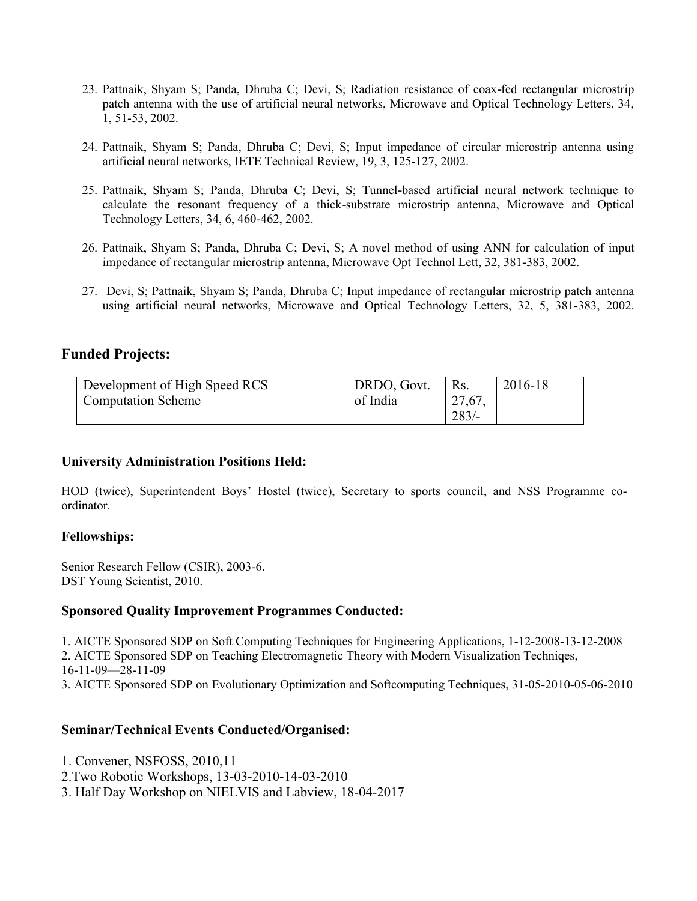- 23. Pattnaik, Shyam S; Panda, Dhruba C; Devi, S; Radiation resistance of coax-fed rectangular microstrip patch antenna with the use of artificial neural networks, Microwave and Optical Technology Letters, 34, 1, 51-53, 2002.
- 24. Pattnaik, Shyam S; Panda, Dhruba C; Devi, S; Input impedance of circular microstrip antenna using artificial neural networks, IETE Technical Review, 19, 3, 125-127, 2002.
- 25. Pattnaik, Shyam S; Panda, Dhruba C; Devi, S; Tunnel-based artificial neural network technique to calculate the resonant frequency of a thick-substrate microstrip antenna, Microwave and Optical Technology Letters, 34, 6, 460-462, 2002.
- 26. Pattnaik, Shyam S; Panda, Dhruba C; Devi, S; A novel method of using ANN for calculation of input impedance of rectangular microstrip antenna, Microwave Opt Technol Lett, 32, 381-383, 2002.
- 27. Devi, S; Pattnaik, Shyam S; Panda, Dhruba C; Input impedance of rectangular microstrip patch antenna using artificial neural networks, Microwave and Optical Technology Letters, 32, 5, 381-383, 2002.

## **Funded Projects:**

| Development of High Speed RCS   | DRDO, Govt. | $R_{\rm S}$ . | 2016-18 |
|---------------------------------|-------------|---------------|---------|
| <sup>t</sup> Computation Scheme | of India    | 27,67,        |         |
|                                 |             | $283/-$       |         |

#### **University Administration Positions Held:**

HOD (twice), Superintendent Boys' Hostel (twice), Secretary to sports council, and NSS Programme coordinator.

#### **Fellowships:**

Senior Research Fellow (CSIR), 2003-6. DST Young Scientist, 2010.

#### **Sponsored Quality Improvement Programmes Conducted:**

1. AICTE Sponsored SDP on Soft Computing Techniques for Engineering Applications, 1-12-2008-13-12-2008 2. AICTE Sponsored SDP on Teaching Electromagnetic Theory with Modern Visualization Techniqes, 16-11-09—28-11-09 3. AICTE Sponsored SDP on Evolutionary Optimization and Softcomputing Techniques, 31-05-2010-05-06-2010

#### **Seminar/Technical Events Conducted/Organised:**

- 1. Convener, NSFOSS, 2010,11
- 2.Two Robotic Workshops, 13-03-2010-14-03-2010
- 3. Half Day Workshop on NIELVIS and Labview, 18-04-2017